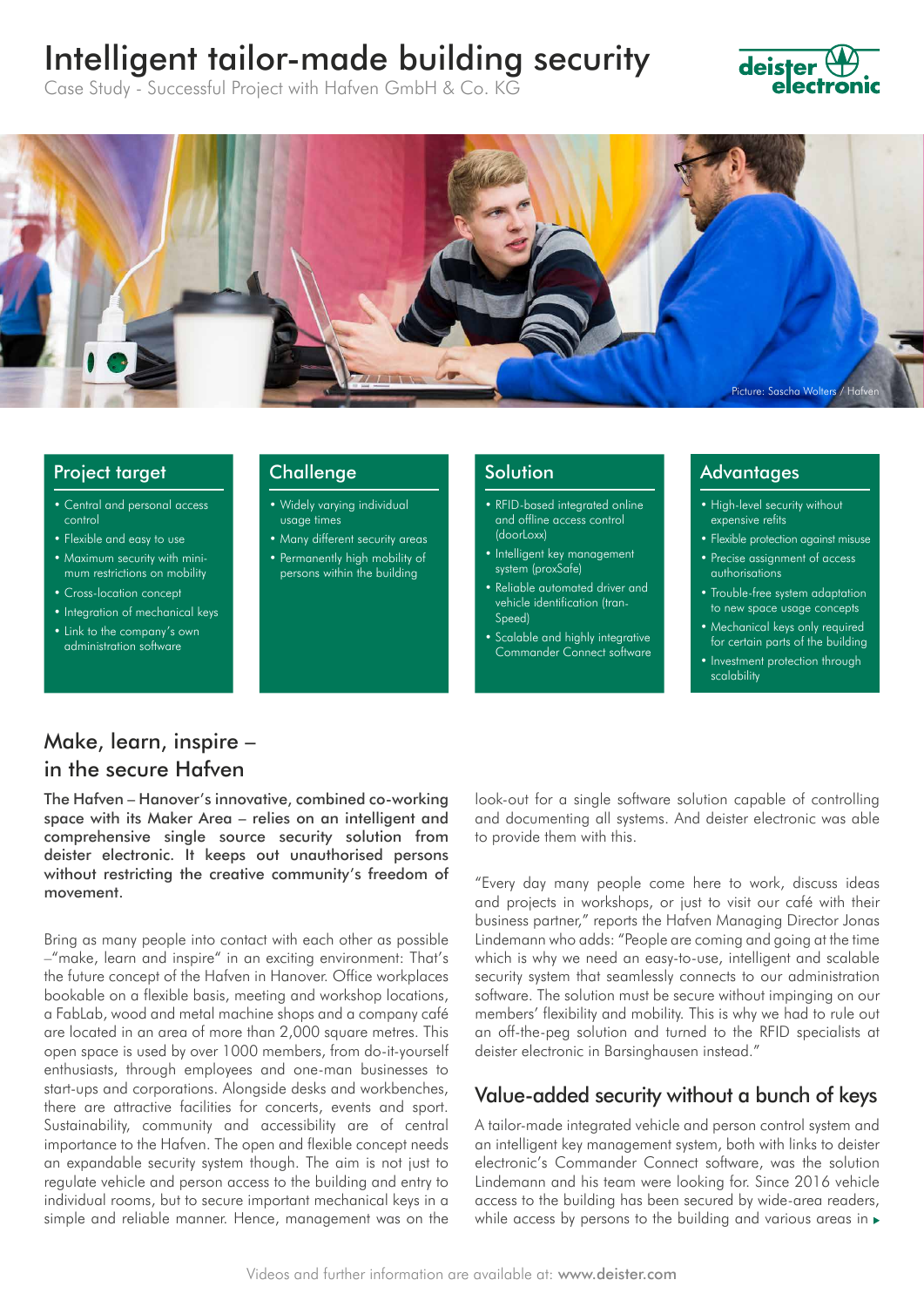# Intelligent tailor-made building security

Case Study - Successful Project with Hafven GmbH & Co. KG

# **deister**



#### Project target

- Central and personal access control
- Flexible and easy to use
- Maximum security with minimum restrictions on mobility
- Cross-location concept
- Integration of mechanical keys
- Link to the company's own administration software

#### **Challenge**

- Widely varying individual usage times
- Many different security areas • Permanently high mobility of
- persons within the building

#### Solution

- RFID-based integrated online and offline access control (doorLoxx)
- Intelligent key management system (proxSafe)
- Reliable automated driver and vehicle identification (tran-Speed)
- Scalable and highly integrative Commander Connect software

#### Advantages

- High-level security without expensive refits
- Flexible protection against misuse • Precise assignment of access authorisations
- Trouble-free system adaptation to new space usage concepts
- Mechanical keys only required for certain parts of the building
- Investment protection through scalability

# Make, learn, inspire – in the secure Hafven

The Hafven – Hanover's innovative, combined co-working space with its Maker Area – relies on an intelligent and comprehensive single source security solution from deister electronic. It keeps out unauthorised persons without restricting the creative community's freedom of movement.

Bring as many people into contact with each other as possible –"make, learn and inspire" in an exciting environment: That's the future concept of the Hafven in Hanover. Office workplaces bookable on a flexible basis, meeting and workshop locations, a FabLab, wood and metal machine shops and a company café are located in an area of more than 2,000 square metres. This open space is used by over 1000 members, from do-it-yourself enthusiasts, through employees and one-man businesses to start-ups and corporations. Alongside desks and workbenches, there are attractive facilities for concerts, events and sport. Sustainability, community and accessibility are of central importance to the Hafven. The open and flexible concept needs an expandable security system though. The aim is not just to regulate vehicle and person access to the building and entry to individual rooms, but to secure important mechanical keys in a simple and reliable manner. Hence, management was on the

look-out for a single software solution capable of controlling and documenting all systems. And deister electronic was able to provide them with this.

"Every day many people come here to work, discuss ideas and projects in workshops, or just to visit our café with their business partner," reports the Hafven Managing Director Jonas Lindemann who adds: "People are coming and going at the time which is why we need an easy-to-use, intelligent and scalable security system that seamlessly connects to our administration software. The solution must be secure without impinging on our members' flexibility and mobility. This is why we had to rule out an off-the-peg solution and turned to the RFID specialists at deister electronic in Barsinghausen instead."

# Value-added security without a bunch of keys

A tailor-made integrated vehicle and person control system and an intelligent key management system, both with links to deister electronic's Commander Connect software, was the solution Lindemann and his team were looking for. Since 2016 vehicle access to the building has been secured by wide-area readers, while access by persons to the building and various areas in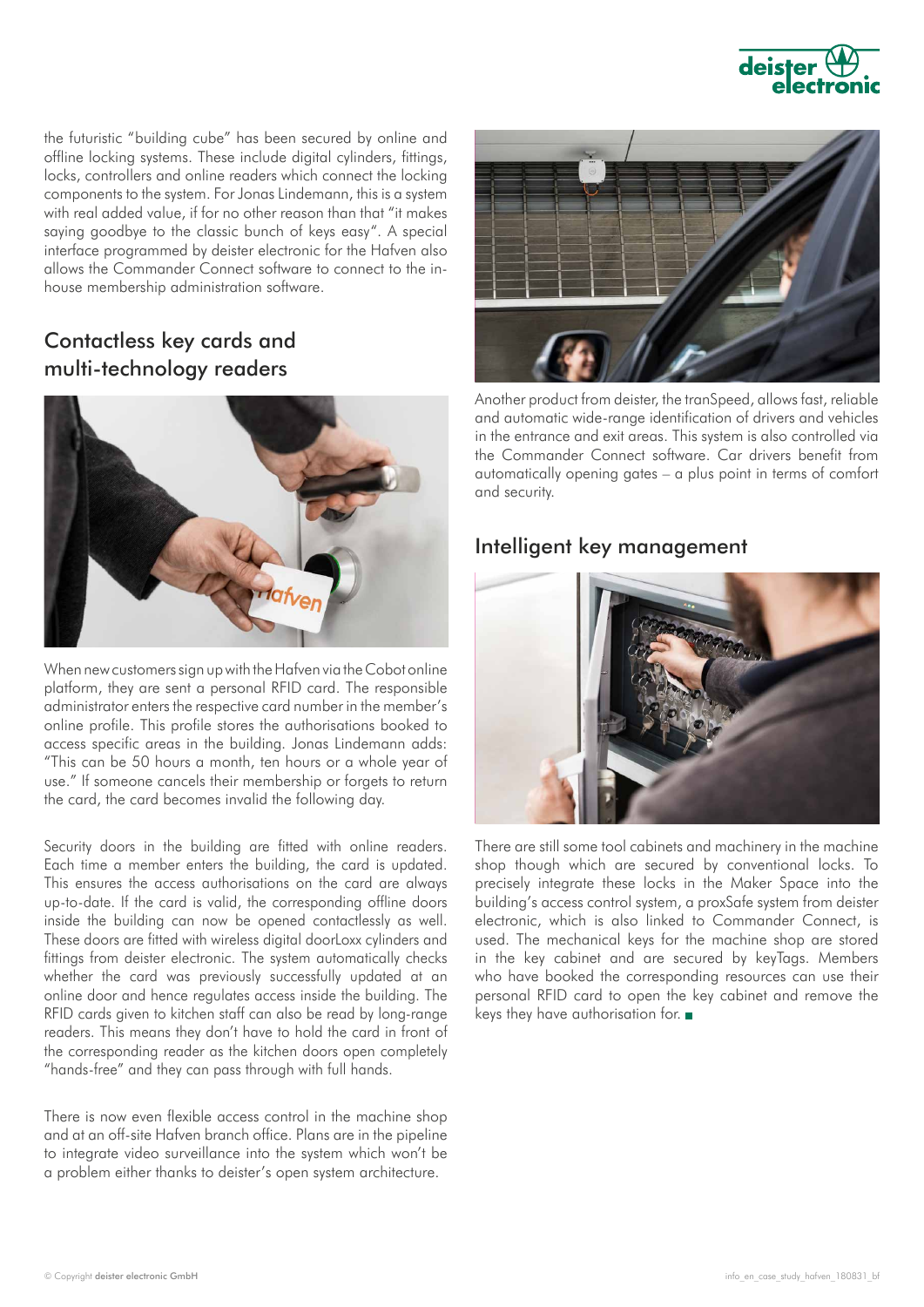

the futuristic "building cube" has been secured by online and offline locking systems. These include digital cylinders, fittings, locks, controllers and online readers which connect the locking components to the system. For Jonas Lindemann, this is a system with real added value, if for no other reason than that "it makes saying goodbye to the classic bunch of keys easy". A special interface programmed by deister electronic for the Hafven also allows the Commander Connect software to connect to the inhouse membership administration software.

# Contactless key cards and multi-technology readers



When new customers sign up with the Hafven via the Cobot online platform, they are sent a personal RFID card. The responsible administrator enters the respective card number in the member's online profile. This profile stores the authorisations booked to access specific areas in the building. Jonas Lindemann adds: "This can be 50 hours a month, ten hours or a whole year of use." If someone cancels their membership or forgets to return the card, the card becomes invalid the following day.

Security doors in the building are fitted with online readers. Each time a member enters the building, the card is updated. This ensures the access authorisations on the card are always up-to-date. If the card is valid, the corresponding offline doors inside the building can now be opened contactlessly as well. These doors are fitted with wireless digital doorLoxx cylinders and fittings from deister electronic. The system automatically checks whether the card was previously successfully updated at an online door and hence regulates access inside the building. The RFID cards given to kitchen staff can also be read by long-range readers. This means they don't have to hold the card in front of the corresponding reader as the kitchen doors open completely "hands-free" and they can pass through with full hands.

There is now even flexible access control in the machine shop and at an off-site Hafven branch office. Plans are in the pipeline to integrate video surveillance into the system which won't be a problem either thanks to deister's open system architecture.



Another product from deister, the tranSpeed, allows fast, reliable and automatic wide-range identification of drivers and vehicles in the entrance and exit areas. This system is also controlled via the Commander Connect software. Car drivers benefit from automatically opening gates – a plus point in terms of comfort and security.

## Intelligent key management



There are still some tool cabinets and machinery in the machine shop though which are secured by conventional locks. To precisely integrate these locks in the Maker Space into the building's access control system, a proxSafe system from deister electronic, which is also linked to Commander Connect, is used. The mechanical keys for the machine shop are stored in the key cabinet and are secured by keyTags. Members who have booked the corresponding resources can use their personal RFID card to open the key cabinet and remove the keys they have authorisation for.